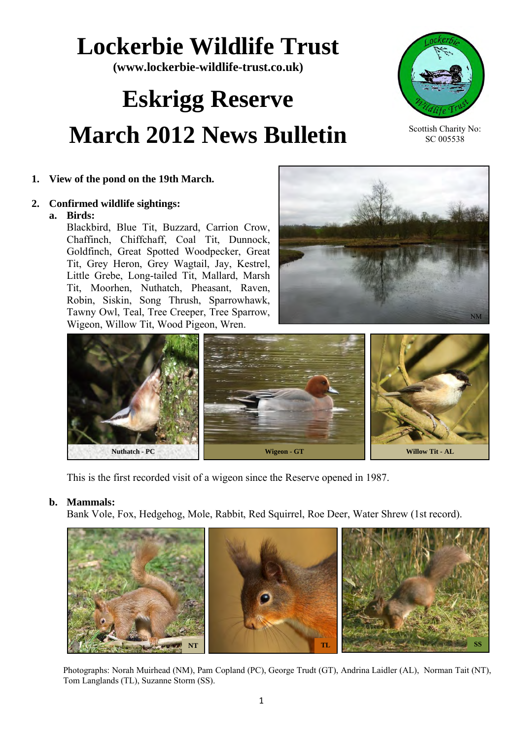## **Lockerbie Wildlife Trust**

**(www.lockerbie-wildlife-trust.co.uk)** 

# **Eskrigg Reserve March 2012 News Bulletin**



Scottish Charity No: SC 005538

## **1. View of the pond on the 19th March.**

## **2. Confirmed wildlife sightings:**

## **a. Birds:**

Blackbird, Blue Tit, Buzzard, Carrion Crow, Chaffinch, Chiffchaff, Coal Tit, Dunnock, Goldfinch, Great Spotted Woodpecker, Great Tit, Grey Heron, Grey Wagtail, Jay, Kestrel, Little Grebe, Long-tailed Tit, Mallard, Marsh Tit, Moorhen, Nuthatch, Pheasant, Raven, Robin, Siskin, Song Thrush, Sparrowhawk, Tawny Owl, Teal, Tree Creeper, Tree Sparrow, Wigeon, Willow Tit, Wood Pigeon, Wren.





This is the first recorded visit of a wigeon since the Reserve opened in 1987.

## **b. Mammals:**

Bank Vole, Fox, Hedgehog, Mole, Rabbit, Red Squirrel, Roe Deer, Water Shrew (1st record).



Photographs: Norah Muirhead (NM), Pam Copland (PC), George Trudt (GT), Andrina Laidler (AL), Norman Tait (NT), Tom Langlands (TL), Suzanne Storm (SS).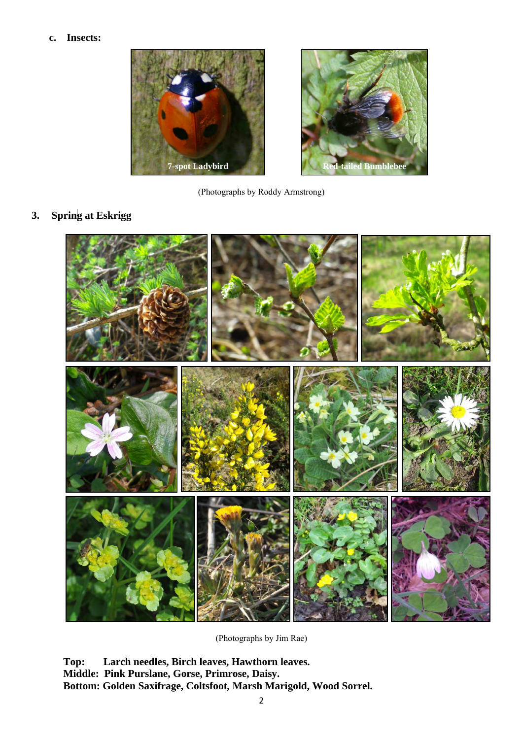### **c. Insects:**



(Photographs by Roddy Armstrong)

**3. Spring at Eskrigg**



(Photographs by Jim Rae)

**Top: Larch needles, Birch leaves, Hawthorn leaves. Middle: Pink Purslane, Gorse, Primrose, Daisy. Bottom: Golden Saxifrage, Coltsfoot, Marsh Marigold, Wood Sorrel.**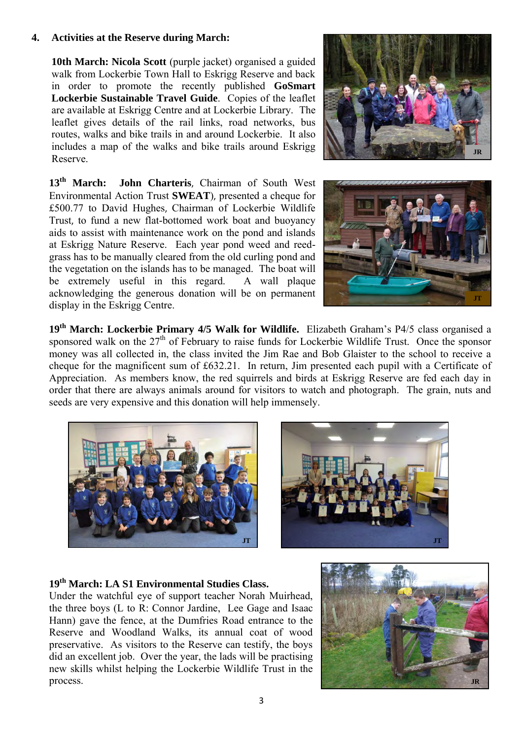## **4. Activities at the Reserve during March:**

**10th March: Nicola Scott** (purple jacket) organised a guided walk from Lockerbie Town Hall to Eskrigg Reserve and back in order to promote the recently published **GoSmart Lockerbie Sustainable Travel Guide**.Copies of the leaflet are available at Eskrigg Centre and at Lockerbie Library. The leaflet gives details of the rail links, road networks, bus routes, walks and bike trails in and around Lockerbie. It also includes a map of the walks and bike trails around Eskrigg Reserve.

**13th March: John Charteris**, Chairman of South West Environmental Action Trust **SWEAT**), presented a cheque for £500.77 to David Hughes, Chairman of Lockerbie Wildlife Trust, to fund a new flat-bottomed work boat and buoyancy aids to assist with maintenance work on the pond and islands at Eskrigg Nature Reserve. Each year pond weed and reedgrass has to be manually cleared from the old curling pond and the vegetation on the islands has to be managed. The boat will be extremely useful in this regard. A wall plaque acknowledging the generous donation will be on permanent display in the Eskrigg Centre.





**19th March: Lockerbie Primary 4/5 Walk for Wildlife.** Elizabeth Graham's P4/5 class organised a sponsored walk on the  $27<sup>th</sup>$  of February to raise funds for Lockerbie Wildlife Trust. Once the sponsor money was all collected in, the class invited the Jim Rae and Bob Glaister to the school to receive a cheque for the magnificent sum of £632.21. In return, Jim presented each pupil with a Certificate of Appreciation. As members know, the red squirrels and birds at Eskrigg Reserve are fed each day in order that there are always animals around for visitors to watch and photograph. The grain, nuts and seeds are very expensive and this donation will help immensely.





## **19th March: LA S1 Environmental Studies Class.**

Under the watchful eye of support teacher Norah Muirhead, the three boys (L to R: Connor Jardine, Lee Gage and Isaac Hann) gave the fence, at the Dumfries Road entrance to the Reserve and Woodland Walks, its annual coat of wood preservative. As visitors to the Reserve can testify, the boys did an excellent job. Over the year, the lads will be practising new skills whilst helping the Lockerbie Wildlife Trust in the process.

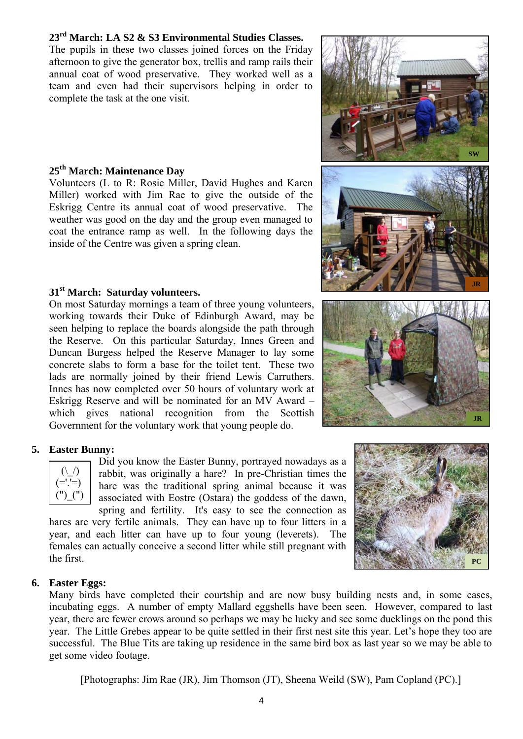## **23rd March: LA S2 & S3 Environmental Studies Classes.**

The pupils in these two classes joined forces on the Friday afternoon to give the generator box, trellis and ramp rails their annual coat of wood preservative. They worked well as a team and even had their supervisors helping in order to complete the task at the one visit.

## **25th March: Maintenance Day**

Volunteers (L to R: Rosie Miller, David Hughes and Karen Miller) worked with Jim Rae to give the outside of the Eskrigg Centre its annual coat of wood preservative. The weather was good on the day and the group even managed to coat the entrance ramp as well. In the following days the inside of the Centre was given a spring clean.

## **31st March: Saturday volunteers.**

On most Saturday mornings a team of three young volunteers, working towards their Duke of Edinburgh Award, may be seen helping to replace the boards alongside the path through the Reserve. On this particular Saturday, Innes Green and Duncan Burgess helped the Reserve Manager to lay some concrete slabs to form a base for the toilet tent. These two lads are normally joined by their friend Lewis Carruthers. Innes has now completed over 50 hours of voluntary work at Eskrigg Reserve and will be nominated for an MV Award – which gives national recognition from the Scottish Government for the voluntary work that young people do.

## **5. Easter Bunny:**

 $\sqrt{)}$ (='.'=)  $(")$  $")$  Did you know the Easter Bunny, portrayed nowadays as a rabbit, was originally a hare? In pre-Christian times the hare was the traditional spring animal because it was associated with Eostre (Ostara) the goddess of the dawn, spring and fertility. It's easy to see the connection as

hares are very fertile animals. They can have up to four litters in a year, and each litter can have up to four young (leverets). The females can actually conceive a second litter while still pregnant with the first.







## **6. Easter Eggs:**

Many birds have completed their courtship and are now busy building nests and, in some cases, incubating eggs. A number of empty Mallard eggshells have been seen. However, compared to last year, there are fewer crows around so perhaps we may be lucky and see some ducklings on the pond this year. The Little Grebes appear to be quite settled in their first nest site this year. Let's hope they too are successful. The Blue Tits are taking up residence in the same bird box as last year so we may be able to get some video footage.

[Photographs: Jim Rae (JR), Jim Thomson (JT), Sheena Weild (SW), Pam Copland (PC).]